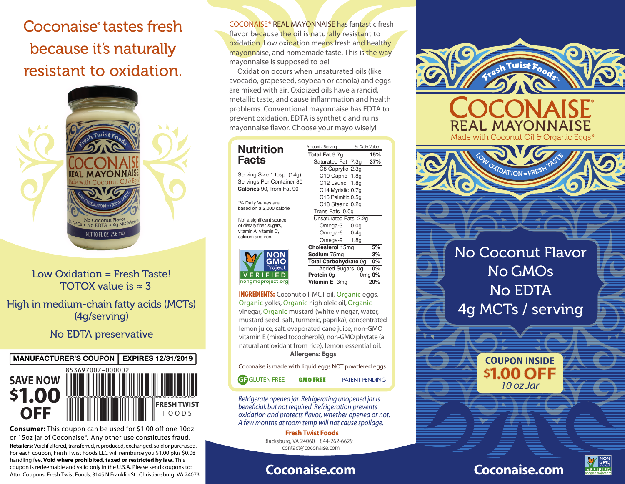Coconaise<sup>®</sup> tastes fresh because it's naturally resistant to oxidation.



# Low Oxidation = Fresh Taste! TOTOX value is  $\approx$  3

High in medium-chain fatty acids (MCTs) (4g/serving)

# No EDTA preservative



**Retailers:** Void if altered, transferred, reproduced, exchanged, sold or purchased. For each coupon, Fresh Twist Foods LLC will reimburse you \$1.00 plus \$0.08 handling fee. **Void where prohibited, taxed or restricted by law.** This coupon is redeemable and valid only in the U.S.A. Please send coupons to: Attn: Coupons, Fresh Twist Foods, 3145 N Franklin St., Christiansburg, VA 24073 **Consumer:** This coupon can be used for \$1.00 off one 10oz or 15oz jar of Coconaise®. Any other use constitutes fraud.

COCONAISE® REAL MAYONNAISE has fantastic fresh flavor because the oil is naturally resistant to oxidation. Low oxidation means fresh and healthy mayonnaise, and homemade taste. This is the way mayonnaise is supposed to be!

 Oxidation occurs when unsaturated oils (like avocado, grapeseed, soybean or canola) and eggs are mixed with air. Oxidized oils have a rancid, metallic taste, and cause inflammation and health problems. Conventional mayonnaise has EDTA to prevent oxidation. EDTA is synthetic and ruins mayonnaise flavor. Choose your mayo wisely!

# **Nutrition Facts**

Serving Size 1 tbsp. (14g) Servings Per Container 30 **Calories** 90, from Fat 90

\*% Daily Values are based on a 2,000 calorie

of dietary fiber, sugars, vitamin A, vitamin C, calcium and iron.



C<sub>12</sub> Lauric 1.8g C14 Myristic 0.7g C<sub>16</sub> Palmitic 0.5g C18 Stearic 0.2g Trans Fats 0.0g Unsaturated Fats 2.2g<br>
Omega-3 0.0g Omega-3 0.0g<br>Omega-6 0.4g  $Omega-6$ Omega-9 1.8g **Cholesterol 15mg 5%<br>
<b>Sodium** 75mg 3% **Sodium 75mg 3%<br>Total Carbohydrate 0g 0% Total Carbohydrate 0g 0%**<br>Added Sugars 0g 0% Added Sugars 0g<br>**Protein** 0g 0r 0mg **0% Vitamin E** 3mg **20%** Not a significant source<br>
of dietay fiber, sugars,<br>
vitamin A, vitamin C,<br>
calcium and iron.<br> **Protocol**<br> **Protocol CONCERCITY CONCERCITS**<br>
Protect<br>
Protein Og

Amount / Serving % Daily Value\* **Total Fat** 9.7g **15%**<br> **Saturated Fat** 7.3g **37%** Saturated Fat 7.3g C8 Caprylic 2.3g C<sub>10</sub> Capric 1.8q

INGREDIENTS: Coconut oil, MCT oil, Organic eggs, Organic yolks, Organic high oleic oil, Organic vinegar, Organic mustard (white vinegar, water, mustard seed, salt, turmeric, paprika), concentrated lemon juice, salt, evaporated cane juice, non-GMO vitamin E (mixed tocopherols), non-GMO phytate (a natural antioxidant from rice), lemon essential oil.

### **Allergens: Eggs**

Coconaise is made with liquid eggs NOT powdered eggs

**GF** GLUTEN FREE

**GMO FREE** PATENT PENDING

*Refrigerate opened jar. Refrigerating unopened jar is*   $b$ eneficial, but not required. Refrigeration prevents *oxidation and protects avor, whether opened or not. A few months at room temp will not cause spoilage.*

> **Fresh Twist Foods** Blacksburg, VA 24060 844-262-6629 contact@coconaise.com

# **Coconaise.com**



**Coconaise.com**